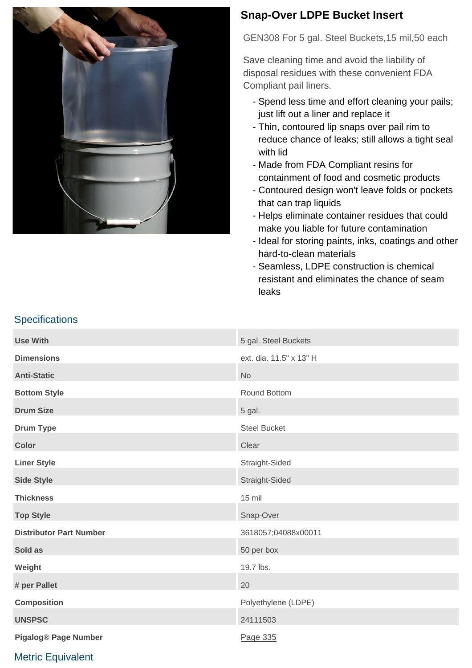

## **Snap-Over LDPE Bucket Insert**

GEN308 For 5 gal. Steel Buckets,15 mil,50 each

Save cleaning time and avoid the liability of disposal residues with these convenient FDA Compliant pail liners.

- Spend less time and effort cleaning your pails; just lift out a liner and replace it
- Thin, contoured lip snaps over pail rim to reduce chance of leaks; still allows a tight seal with lid
- Made from FDA Compliant resins for containment of food and cosmetic products
- Contoured design won't leave folds or pockets that can trap liquids
- Helps eliminate container residues that could make you liable for future contamination
- Ideal for storing paints, inks, coatings and other hard-to-clean materials
- Seamless, LDPE construction is chemical resistant and eliminates the chance of seam leaks

| <b>Use With</b>                | 5 gal. Steel Buckets    |
|--------------------------------|-------------------------|
| <b>Dimensions</b>              | ext. dia. 11.5" x 13" H |
| <b>Anti-Static</b>             | <b>No</b>               |
| <b>Bottom Style</b>            | Round Bottom            |
| <b>Drum Size</b>               | 5 gal.                  |
| <b>Drum Type</b>               | <b>Steel Bucket</b>     |
| <b>Color</b>                   | Clear                   |
| <b>Liner Style</b>             | Straight-Sided          |
| <b>Side Style</b>              | Straight-Sided          |
| <b>Thickness</b>               | 15 mil                  |
| <b>Top Style</b>               | Snap-Over               |
| <b>Distributor Part Number</b> | 3618057;04088x00011     |
| Sold as                        | 50 per box              |
| Weight                         | 19.7 lbs.               |
| # per Pallet                   | 20                      |
| <b>Composition</b>             | Polyethylene (LDPE)     |
| <b>UNSPSC</b>                  | 24111503                |
| <b>Pigalog® Page Number</b>    | Page 335                |

#### **Specifications**

### Metric Equivalent